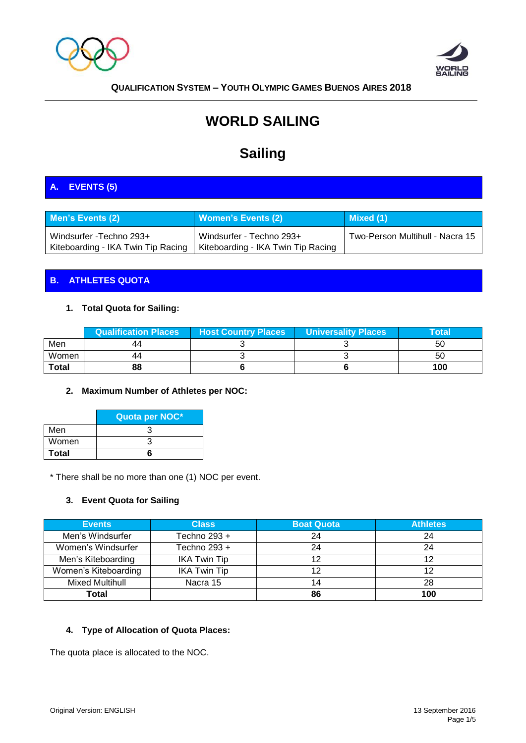



# **WORLD SAILING**

# **Sailing**

# **A. EVENTS (5)**

| <b>Men's Events (2)</b>            | <b>Women's Events (2)</b>          | Mixed (1)                       |
|------------------------------------|------------------------------------|---------------------------------|
| Windsurfer - Techno 293+           | Windsurfer - Techno 293+           | Two-Person Multihull - Nacra 15 |
| Kiteboarding - IKA Twin Tip Racing | Kiteboarding - IKA Twin Tip Racing |                                 |

## **B. ATHLETES QUOTA**

## **1. Total Quota for Sailing:**

|              | Qualification Places | <b>Host Country Places</b> | Universality Places | $\mathbf{T}$ otal $\mathbf{V}$ |
|--------------|----------------------|----------------------------|---------------------|--------------------------------|
| Men          |                      |                            |                     | 50                             |
| Women        |                      |                            |                     | 50                             |
| <b>Total</b> | 88                   |                            |                     | 100                            |

#### **2. Maximum Number of Athletes per NOC:**

|              | Quota per NOC* |
|--------------|----------------|
| Men          |                |
| Women        |                |
| <b>Total</b> |                |

\* There shall be no more than one (1) NOC per event.

#### **3. Event Quota for Sailing**

| <b>Events</b>        | <b>Class</b>        | <b>Boat Quota</b> | <b>Athletes</b> |
|----------------------|---------------------|-------------------|-----------------|
| Men's Windsurfer     | Techno 293 +        | 24                | 24              |
| Women's Windsurfer   | Techno 293 +        | 24                | 24              |
| Men's Kiteboarding   | <b>IKA Twin Tip</b> | 12                | 12              |
| Women's Kiteboarding | <b>IKA Twin Tip</b> | 12                | 12              |
| Mixed Multihull      | Nacra 15            | 14                | 28              |
| Total                |                     | 86                | 100             |

## **4. Type of Allocation of Quota Places:**

The quota place is allocated to the NOC.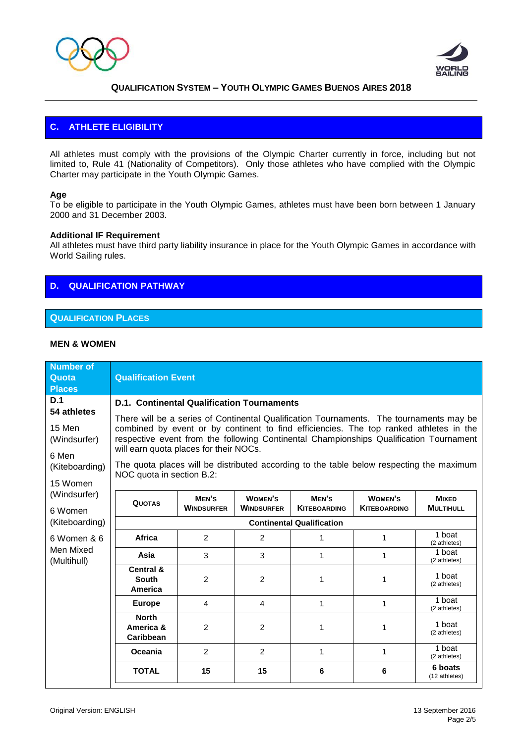



## **C. ATHLETE ELIGIBILITY**

All athletes must comply with the provisions of the Olympic Charter currently in force, including but not limited to, Rule 41 (Nationality of Competitors). Only those athletes who have complied with the Olympic Charter may participate in the Youth Olympic Games.

#### **Age**

To be eligible to participate in the Youth Olympic Games, athletes must have been born between 1 January 2000 and 31 December 2003.

#### **Additional IF Requirement**

All athletes must have third party liability insurance in place for the Youth Olympic Games in accordance with World Sailing rules.

## **D. QUALIFICATION PATHWAY**

#### **QUALIFICATION PLACES**

#### **MEN & WOMEN**

| <b>Number of</b><br>Quota<br><b>Places</b>                    | <b>Qualification Event</b>                                                                                                                                                                                                                                                                                                                                                                                                                     |                            |                                     |                              |                                       |                                  |
|---------------------------------------------------------------|------------------------------------------------------------------------------------------------------------------------------------------------------------------------------------------------------------------------------------------------------------------------------------------------------------------------------------------------------------------------------------------------------------------------------------------------|----------------------------|-------------------------------------|------------------------------|---------------------------------------|----------------------------------|
| D.1<br>54 athletes                                            | <b>D.1. Continental Qualification Tournaments</b>                                                                                                                                                                                                                                                                                                                                                                                              |                            |                                     |                              |                                       |                                  |
| 15 Men<br>(Windsurfer)<br>6 Men<br>(Kiteboarding)<br>15 Women | There will be a series of Continental Qualification Tournaments. The tournaments may be<br>combined by event or by continent to find efficiencies. The top ranked athletes in the<br>respective event from the following Continental Championships Qualification Tournament<br>will earn quota places for their NOCs.<br>The quota places will be distributed according to the table below respecting the maximum<br>NOC quota in section B.2: |                            |                                     |                              |                                       |                                  |
| (Windsurfer)<br>6 Women                                       | <b>QUOTAS</b>                                                                                                                                                                                                                                                                                                                                                                                                                                  | MEN'S<br><b>WINDSURFER</b> | <b>WOMEN'S</b><br><b>WINDSURFER</b> | MEN'S<br><b>KITEBOARDING</b> | <b>WOMEN'S</b><br><b>KITEBOARDING</b> | <b>MIXED</b><br><b>MULTIHULL</b> |
| (Kiteboarding)                                                | <b>Continental Qualification</b>                                                                                                                                                                                                                                                                                                                                                                                                               |                            |                                     |                              |                                       |                                  |
| 6 Women & 6<br>Men Mixed<br>(Multihull)                       | Africa                                                                                                                                                                                                                                                                                                                                                                                                                                         | 2                          | 2                                   | 1                            | 1                                     | 1 boat<br>(2 athletes)           |
|                                                               | Asia                                                                                                                                                                                                                                                                                                                                                                                                                                           | 3                          | 3                                   | 1                            | 1                                     | 1 boat<br>(2 athletes)           |
|                                                               | Central &<br><b>South</b><br>America                                                                                                                                                                                                                                                                                                                                                                                                           | $\overline{2}$             | 2                                   | 1                            | 1                                     | 1 boat<br>(2 athletes)           |
|                                                               | <b>Europe</b>                                                                                                                                                                                                                                                                                                                                                                                                                                  | $\overline{4}$             | 4                                   | 1                            | $\mathbf 1$                           | 1 boat<br>(2 athletes)           |
|                                                               | <b>North</b><br>America &<br>Caribbean                                                                                                                                                                                                                                                                                                                                                                                                         | $\overline{2}$             | 2                                   | 1                            | 1                                     | 1 boat<br>(2 athletes)           |
|                                                               | Oceania                                                                                                                                                                                                                                                                                                                                                                                                                                        | 2                          | 2                                   | 1                            | 1                                     | 1 boat<br>(2 athletes)           |
|                                                               | <b>TOTAL</b>                                                                                                                                                                                                                                                                                                                                                                                                                                   | 15                         | 15                                  | 6                            | 6                                     | 6 boats<br>(12 athletes)         |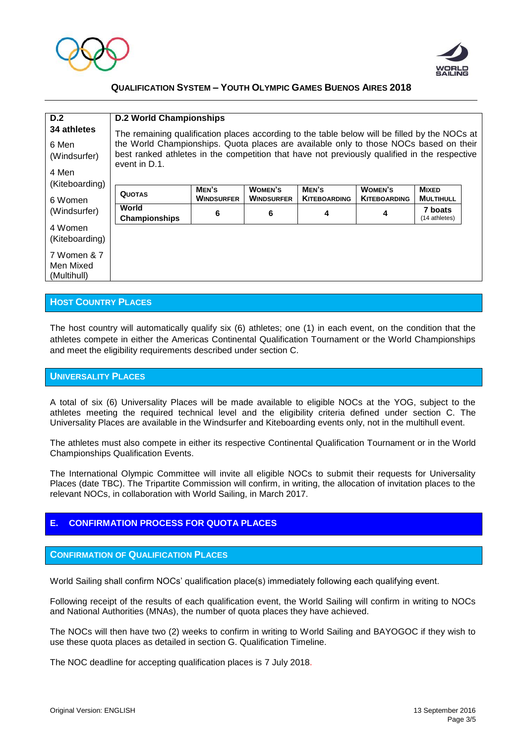



| D.2<br>34 athletes<br>6 Men<br>(Windsurfer)<br>4 Men<br>(Kiteboarding) | <b>D.2 World Championships</b><br>The remaining qualification places according to the table below will be filled by the NOCs at<br>the World Championships. Quota places are available only to those NOCs based on their<br>best ranked athletes in the competition that have not previously qualified in the respective<br>event in D.1. |                            |                              |                              |                                |                                  |  |
|------------------------------------------------------------------------|-------------------------------------------------------------------------------------------------------------------------------------------------------------------------------------------------------------------------------------------------------------------------------------------------------------------------------------------|----------------------------|------------------------------|------------------------------|--------------------------------|----------------------------------|--|
| 6 Women<br>(Windsurfer)                                                | <b>QUOTAS</b>                                                                                                                                                                                                                                                                                                                             | MEN'S<br><b>WINDSURFER</b> | WOMEN'S<br><b>WINDSURFER</b> | MEN'S<br><b>KITEBOARDING</b> | WOMEN'S<br><b>KITEBOARDING</b> | <b>MIXED</b><br><b>MULTIHULL</b> |  |
|                                                                        | World<br><b>Championships</b>                                                                                                                                                                                                                                                                                                             | 6                          | 6                            | 4                            | 4                              | 7 boats<br>(14 athletes)         |  |
| 4 Women<br>(Kiteboarding)                                              |                                                                                                                                                                                                                                                                                                                                           |                            |                              |                              |                                |                                  |  |
| 7 Women & 7<br>Men Mixed<br>(Multihull)                                |                                                                                                                                                                                                                                                                                                                                           |                            |                              |                              |                                |                                  |  |

#### **HOST COUNTRY PLACES**

The host country will automatically qualify six (6) athletes; one (1) in each event, on the condition that the athletes compete in either the Americas Continental Qualification Tournament or the World Championships and meet the eligibility requirements described under section C.

#### **UNIVERSALITY PLACES**

A total of six (6) Universality Places will be made available to eligible NOCs at the YOG, subject to the athletes meeting the required technical level and the eligibility criteria defined under section C. The Universality Places are available in the Windsurfer and Kiteboarding events only, not in the multihull event.

The athletes must also compete in either its respective Continental Qualification Tournament or in the World Championships Qualification Events.

The International Olympic Committee will invite all eligible NOCs to submit their requests for Universality Places (date TBC). The Tripartite Commission will confirm, in writing, the allocation of invitation places to the relevant NOCs, in collaboration with World Sailing, in March 2017.

#### **E. CONFIRMATION PROCESS FOR QUOTA PLACES**

#### **CONFIRMATION OF QUALIFICATION PLACES**

World Sailing shall confirm NOCs' qualification place(s) immediately following each qualifying event.

Following receipt of the results of each qualification event, the World Sailing will confirm in writing to NOCs and National Authorities (MNAs), the number of quota places they have achieved.

The NOCs will then have two (2) weeks to confirm in writing to World Sailing and BAYOGOC if they wish to use these quota places as detailed in section G. Qualification Timeline.

The NOC deadline for accepting qualification places is 7 July 2018.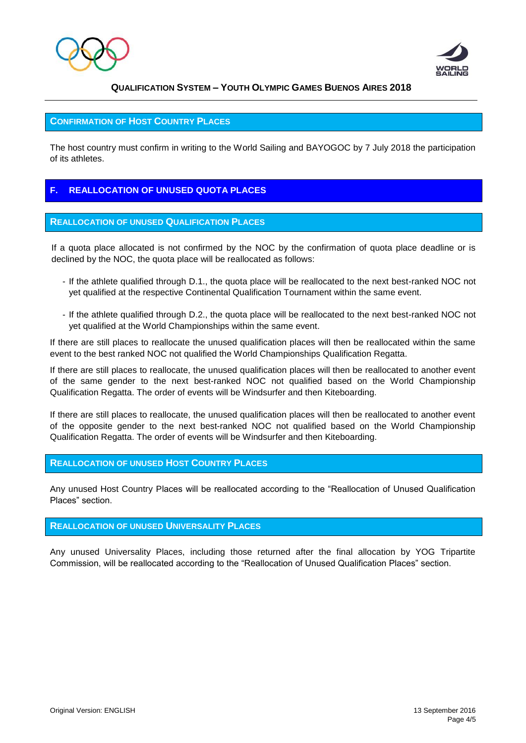



#### **CONFIRMATION OF HOST COUNTRY PLACES**

The host country must confirm in writing to the World Sailing and BAYOGOC by 7 July 2018 the participation of its athletes.

#### **F. REALLOCATION OF UNUSED QUOTA PLACES**

#### **REALLOCATION OF UNUSED QUALIFICATION PLACES**

If a quota place allocated is not confirmed by the NOC by the confirmation of quota place deadline or is declined by the NOC, the quota place will be reallocated as follows:

- If the athlete qualified through D.1., the quota place will be reallocated to the next best-ranked NOC not yet qualified at the respective Continental Qualification Tournament within the same event.
- If the athlete qualified through D.2., the quota place will be reallocated to the next best-ranked NOC not yet qualified at the World Championships within the same event.

If there are still places to reallocate the unused qualification places will then be reallocated within the same event to the best ranked NOC not qualified the World Championships Qualification Regatta.

If there are still places to reallocate, the unused qualification places will then be reallocated to another event of the same gender to the next best-ranked NOC not qualified based on the World Championship Qualification Regatta. The order of events will be Windsurfer and then Kiteboarding.

If there are still places to reallocate, the unused qualification places will then be reallocated to another event of the opposite gender to the next best-ranked NOC not qualified based on the World Championship Qualification Regatta. The order of events will be Windsurfer and then Kiteboarding.

#### **REALLOCATION OF UNUSED HOST COUNTRY PLACES**

Any unused Host Country Places will be reallocated according to the "Reallocation of Unused Qualification Places" section.

#### **REALLOCATION OF UNUSED UNIVERSALITY PLACES**

Any unused Universality Places, including those returned after the final allocation by YOG Tripartite Commission, will be reallocated according to the "Reallocation of Unused Qualification Places" section.